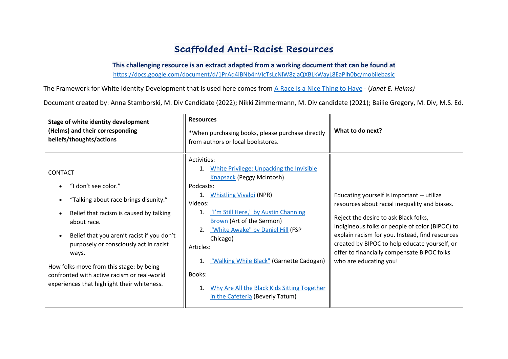# **Scaffolded Anti-Racist Resources**

**This challenging resource is an extract adapted from a working document that can be found at**

<https://docs.google.com/document/d/1PrAq4iBNb4nVIcTsLcNlW8zjaQXBLkWayL8EaPlh0bc/mobilebasic>

The Framework for White Identity Development that is used here comes from [A Race Is a Nice Thing to Have](https://www.google.com/url?q=https://www.google.com/url?q%3Dhttps://titles.cognella.com/a-race-is-a-nice-thing-to-have-9781516583263%26amp;sa%3DD%26amp;ust%3D1594240756811000%26amp;usg%3DAOvVaw0udnQXOtWkZVZFkEix2fmK&sa=D&ust=1594240756969000&usg=AFQjCNGG6zSdCRB0zCRHqkenn0Ec5ucT8g) - (*Janet E. Helms)*

Document created by: Anna Stamborski, M. Div Candidate (2022); Nikki Zimmermann, M. Div candidate (2021); Bailie Gregory, M. Div, M.S. Ed.

| Stage of white identity development<br>(Helms) and their corresponding<br>beliefs/thoughts/actions                                                                                                                                                                                                                                                                                   | <b>Resources</b><br>*When purchasing books, please purchase directly<br>from authors or local bookstores.                                                                                                                                                                                                                                                                                                                                                    | What to do next?                                                                                                                                                                                                                                                                                                                                                     |
|--------------------------------------------------------------------------------------------------------------------------------------------------------------------------------------------------------------------------------------------------------------------------------------------------------------------------------------------------------------------------------------|--------------------------------------------------------------------------------------------------------------------------------------------------------------------------------------------------------------------------------------------------------------------------------------------------------------------------------------------------------------------------------------------------------------------------------------------------------------|----------------------------------------------------------------------------------------------------------------------------------------------------------------------------------------------------------------------------------------------------------------------------------------------------------------------------------------------------------------------|
| <b>CONTACT</b><br>"I don't see color."<br>"Talking about race brings disunity."<br>Belief that racism is caused by talking<br>about race.<br>Belief that you aren't racist if you don't<br>purposely or consciously act in racist<br>ways.<br>How folks move from this stage: by being<br>confronted with active racism or real-world<br>experiences that highlight their whiteness. | Activities:<br>White Privilege: Unpacking the Invisible<br>1.<br><b>Knapsack (Peggy McIntosh)</b><br>Podcasts:<br><b>Whistling Vivaldi (NPR)</b><br>1.<br>Videos:<br>"I'm Still Here," by Austin Channing<br>1.<br>Brown (Art of the Sermon)<br>"White Awake" by Daniel Hill (FSP<br>2.<br>Chicago)<br>Articles:<br>1. "Walking While Black" (Garnette Cadogan)<br>Books:<br>Why Are All the Black Kids Sitting Together<br>in the Cafeteria (Beverly Tatum) | Educating yourself is important -- utilize<br>resources about racial inequality and biases.<br>Reject the desire to ask Black folks,<br>Indigineous folks or people of color (BIPOC) to<br>explain racism for you. Instead, find resources<br>created by BIPOC to help educate yourself, or<br>offer to financially compensate BIPOC folks<br>who are educating you! |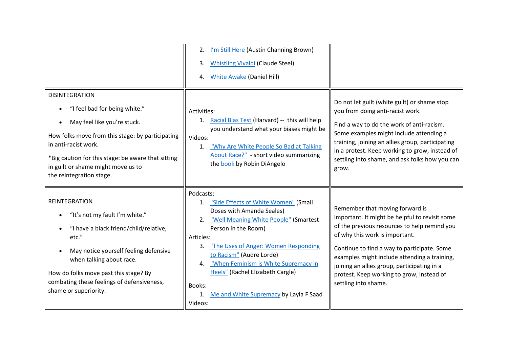|                                                                                                                                                                                                                                                                                                                          | 2. I'm Still Here (Austin Channing Brown)<br><b>Whistling Vivaldi (Claude Steel)</b><br>3.<br>4. White Awake (Daniel Hill)                                                                                                                                                                                                                                                                        |                                                                                                                                                                                                                                                                                                                                                                                        |
|--------------------------------------------------------------------------------------------------------------------------------------------------------------------------------------------------------------------------------------------------------------------------------------------------------------------------|---------------------------------------------------------------------------------------------------------------------------------------------------------------------------------------------------------------------------------------------------------------------------------------------------------------------------------------------------------------------------------------------------|----------------------------------------------------------------------------------------------------------------------------------------------------------------------------------------------------------------------------------------------------------------------------------------------------------------------------------------------------------------------------------------|
| <b>DISINTEGRATION</b><br>"I feel bad for being white."<br>$\bullet$<br>May feel like you're stuck.<br>$\bullet$<br>How folks move from this stage: by participating<br>in anti-racist work.<br>*Big caution for this stage: be aware that sitting<br>in guilt or shame might move us to<br>the reintegration stage.      | Activities:<br>1. Racial Bias Test (Harvard) -- this will help<br>you understand what your biases might be<br>Videos:<br>"Why Are White People So Bad at Talking<br>$\mathbf{1}$ .<br>About Race?" - short video summarizing<br>the book by Robin DiAngelo                                                                                                                                        | Do not let guilt (white guilt) or shame stop<br>you from doing anti-racist work.<br>Find a way to do the work of anti-racism.<br>Some examples might include attending a<br>training, joining an allies group, participating<br>in a protest. Keep working to grow, instead of<br>settling into shame, and ask folks how you can<br>grow.                                              |
| <b>REINTEGRATION</b><br>"It's not my fault I'm white."<br>$\bullet$<br>"I have a black friend/child/relative,<br>etc."<br>May notice yourself feeling defensive<br>$\bullet$<br>when talking about race.<br>How do folks move past this stage? By<br>combating these feelings of defensiveness,<br>shame or superiority. | Podcasts:<br>1. "Side Effects of White Women" (Small<br>Doses with Amanda Seales)<br>"Well Meaning White People" (Smartest<br>2.<br>Person in the Room)<br>Articles:<br>3. The Uses of Anger: Women Responding<br>to Racism" (Audre Lorde)<br>"When Feminism is White Supremacy in<br>4.<br>Heels" (Rachel Elizabeth Cargle)<br>Books:<br>Me and White Supremacy by Layla F Saad<br>1.<br>Videos: | Remember that moving forward is<br>important. It might be helpful to revisit some<br>of the previous resources to help remind you<br>of why this work is important.<br>Continue to find a way to participate. Some<br>examples might include attending a training,<br>joining an allies group, participating in a<br>protest. Keep working to grow, instead of<br>settling into shame. |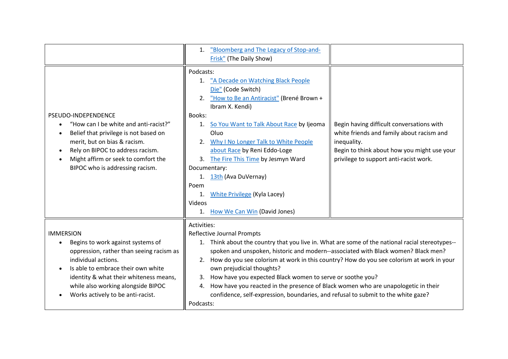|                                                                                                                                                                                                                                                                                     | 1. "Bloomberg and The Legacy of Stop-and-<br>Frisk" (The Daily Show)                                                                                                                                                                                                                                                                                                                                                                                                                                                                                                                                                                 |                                                                                                                                                                                                |
|-------------------------------------------------------------------------------------------------------------------------------------------------------------------------------------------------------------------------------------------------------------------------------------|--------------------------------------------------------------------------------------------------------------------------------------------------------------------------------------------------------------------------------------------------------------------------------------------------------------------------------------------------------------------------------------------------------------------------------------------------------------------------------------------------------------------------------------------------------------------------------------------------------------------------------------|------------------------------------------------------------------------------------------------------------------------------------------------------------------------------------------------|
| PSEUDO-INDEPENDENCE<br>"How can I be white and anti-racist?"<br>Belief that privilege is not based on<br>merit, but on bias & racism.<br>Rely on BIPOC to address racism.<br>Might affirm or seek to comfort the<br>BIPOC who is addressing racism.                                 | Podcasts:<br>1. "A Decade on Watching Black People<br>Die" (Code Switch)<br>"How to Be an Antiracist" (Brené Brown +<br>2.<br>Ibram X. Kendi)<br>Books:<br>So You Want to Talk About Race by Ijeoma<br>1.<br>Oluo<br>2. Why I No Longer Talk to White People<br>about Race by Reni Eddo-Loge<br>3. The Fire This Time by Jesmyn Ward<br>Documentary:<br>1. 13th (Ava DuVernay)<br>Poem<br><b>White Privilege (Kyla Lacey)</b><br>1.<br>Videos<br>1. How We Can Win (David Jones)                                                                                                                                                     | Begin having difficult conversations with<br>white friends and family about racism and<br>inequality.<br>Begin to think about how you might use your<br>privilege to support anti-racist work. |
| <b>IMMERSION</b><br>Begins to work against systems of<br>oppression, rather than seeing racism as<br>individual actions.<br>Is able to embrace their own white<br>identity & what their whiteness means,<br>while also working alongside BIPOC<br>Works actively to be anti-racist. | Activities:<br><b>Reflective Journal Prompts</b><br>1. Think about the country that you live in. What are some of the national racial stereotypes--<br>spoken and unspoken, historic and modern--associated with Black women? Black men?<br>2. How do you see colorism at work in this country? How do you see colorism at work in your<br>own prejudicial thoughts?<br>How have you expected Black women to serve or soothe you?<br>3.<br>How have you reacted in the presence of Black women who are unapologetic in their<br>4.<br>confidence, self-expression, boundaries, and refusal to submit to the white gaze?<br>Podcasts: |                                                                                                                                                                                                |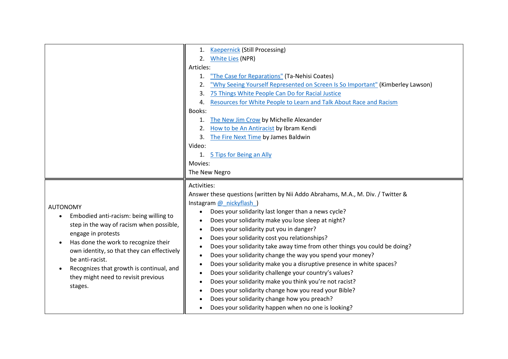- AUTONOMY
	- Embodied anti-racism: being willing to step in the way of racism when possible, engage in protests
	- Has done the work to recognize their own identity, so that they can effectively be anti-racist.
	- Recognizes that growth is continual, and they might need to revisit previous stages.
- 1. [Kaepernick](https://www.google.com/url?q=https://www.google.com/url?q%3Dhttps://nyti.ms/2RQOUAq%26amp;sa%3DD%26amp;ust%3D1594240756855000%26amp;usg%3DAOvVaw29e9VmfrOaVqs9Qp14ivKM&sa=D&ust=1594240756975000&usg=AFQjCNGObOdkQty8UXh0zr5NSmOD-r-rbA) (Still Processing)
- 2. [White Lies](https://www.google.com/url?q=https://www.google.com/url?q%3Dhttps://www.npr.org/podcasts/510343/white-lies%26amp;sa%3DD%26amp;ust%3D1594240756856000%26amp;usg%3DAOvVaw109af3M3LOW-zIMD_u74Uj&sa=D&ust=1594240756975000&usg=AFQjCNFKiMB0qe0th0uivKuIDvDuKzDC1A) (NPR)

#### Articles:

- 1. ["The Case for Reparations"](https://www.google.com/url?q=https://www.google.com/url?q%3Dhttps://www.theatlantic.com/magazine/archive/2014/06/the-case-for-reparations/361631/%26amp;sa%3DD%26amp;ust%3D1594240756857000%26amp;usg%3DAOvVaw30pgLITDOW6ISxlmKWKrBU&sa=D&ust=1594240756975000&usg=AFQjCNFKWgQ-EeFJlnCilITIWGP98fkv8w) (Ta-Nehisi Coates)
- 2. ["Why Seeing Yourself Represented on Screen Is So Important"](https://www.google.com/url?q=https://www.google.com/url?q%3Dhttps://www.vice.com/en_us/article/zmwq3x/why-diversity-on-screen-is-important-black-panther%26amp;sa%3DD%26amp;ust%3D1594240756857000%26amp;usg%3DAOvVaw1LO2cFZtufV4gzWF1mpRky&sa=D&ust=1594240756975000&usg=AFQjCNFTNc_yPTBRo4fvMPkT4c880hHGLA) (Kimberley Lawson)
- 3. [75 Things White People Can Do for Racial Justice](https://www.google.com/url?q=https://www.google.com/url?q%3Dhttps://medium.com/equality-includes-you/what-white-people-can-do-for-racial-justice-f2d18b0e0234%26amp;sa%3DD%26amp;ust%3D1594240756857000%26amp;usg%3DAOvVaw3OGs27CMMvNB-ElOITEttR&sa=D&ust=1594240756975000&usg=AFQjCNGmXZ4VoNCSgqJMo8j7yI_WhfX6Tg)
- 4. [Resources for White People to Learn and Talk About Race and Racism](https://www.google.com/url?q=https://www.google.com/url?q%3Dhttps://blog.fracturedatlas.org/resources-for-white-people-to-learn-and-talk-about-race-and-racism-5b207fff4fc7%26amp;sa%3DD%26amp;ust%3D1594240756858000%26amp;usg%3DAOvVaw1nh5FLY2F-uenQdCZ_gdNr&sa=D&ust=1594240756975000&usg=AFQjCNGfCUvlabQaaIDSybsV2cNQI3ZOyw)

### Books:

- 1. [The New Jim Crow](https://www.google.com/url?q=https://www.google.com/url?q%3Dhttps://newjimcrow.com/about/buy%26amp;sa%3DD%26amp;ust%3D1594240756858000%26amp;usg%3DAOvVaw3m--JGDtnqg2el4J193gki&sa=D&ust=1594240756975000&usg=AFQjCNH_hlXpFCpqexlnELWlpJlr1caROA) by Michelle Alexander
- 2. [How to be An Antiracist](https://www.google.com/url?q=https://www.google.com/url?q%3Dhttps://www.ibramxkendi.com/books-1%26amp;sa%3DD%26amp;ust%3D1594240756859000%26amp;usg%3DAOvVaw0jQssSw3kgpG7kTkhT_uRz&sa=D&ust=1594240756975000&usg=AFQjCNFHgO7rk7zp26kq9YgFaRe8_eDd9w) by Ibram Kendi
- 3. [The Fire Next Time](https://www.google.com/url?q=https://www.google.com/url?q%3Dhttps://www.penguinrandomhouse.com/books/7753/the-fire-next-time-by-james-baldwin/%26amp;sa%3DD%26amp;ust%3D1594240756860000%26amp;usg%3DAOvVaw0QEXpBaDceRQ62rzqwSxxA&sa=D&ust=1594240756975000&usg=AFQjCNHm1X3BvyAzKojGMSTUeiQtujMV9g) by James Baldwin

## Video:

1. [5 Tips for Being an Ally](https://www.google.com/url?q=https://www.google.com/url?q%3Dhttps://www.youtube.com/watch?v%253D_dg86g-QlM0%2526feature%253Dyoutu.be%26amp;sa%3DD%26amp;ust%3D1594240756860000%26amp;usg%3DAOvVaw1GryJCH163NXBXn2PutIUT&sa=D&ust=1594240756976000&usg=AFQjCNHEfYmRyQqfSnPIZxHKlfvtA23Tyw)

#### Movies:

## The New Negro

# Activities:

Answer these questions (written by Nii Addo Abrahams, M.A., M. Div. / Twitter & Instagram [@\\_nickyflash\\_\)](https://www.google.com/url?q=https://www.google.com/url?q%3Dhttps://twitter.com/_nickyflash_%26amp;sa%3DD%26amp;ust%3D1594240756864000%26amp;usg%3DAOvVaw1xiPv6CtNQBQST_G3mUa8j&sa=D&ust=1594240756976000&usg=AFQjCNF-le6-lOEERB64uySYRhtWJnxV0w)

- Does your solidarity last longer than a news cycle?
- Does your solidarity make you lose sleep at night?
- Does your solidarity put you in danger?
- Does your solidarity cost you relationships?
- Does your solidarity take away time from other things you could be doing?
- Does your solidarity change the way you spend your money?
- Does your solidarity make you a disruptive presence in white spaces?
- Does your solidarity challenge your country's values?
- Does your solidarity make you think you're not racist?
- Does your solidarity change how you read your Bible?
- Does your solidarity change how you preach?
- Does your solidarity happen when no one is looking?